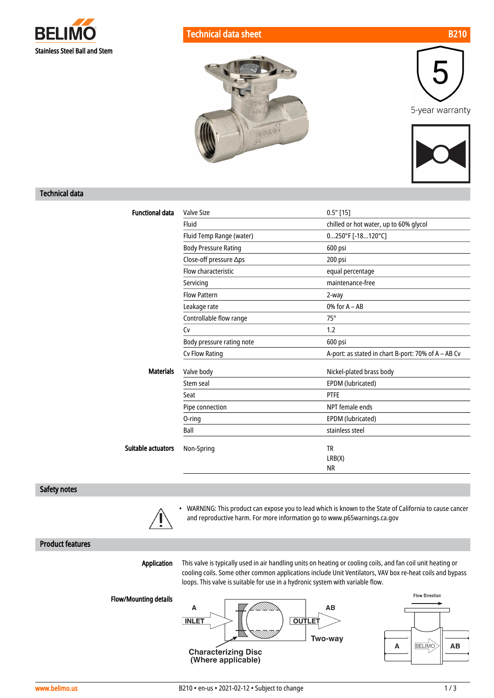





### Technical data

| <b>Functional data</b> | <b>Valve Size</b>           | $0.5"$ [15]                                         |  |
|------------------------|-----------------------------|-----------------------------------------------------|--|
|                        | Fluid                       | chilled or hot water, up to 60% glycol              |  |
|                        | Fluid Temp Range (water)    | $0250^{\circ}$ F [-18120°C]                         |  |
|                        | <b>Body Pressure Rating</b> | 600 psi                                             |  |
|                        | Close-off pressure ∆ps      | 200 psi                                             |  |
|                        | Flow characteristic         | equal percentage                                    |  |
|                        | Servicing                   | maintenance-free                                    |  |
|                        | <b>Flow Pattern</b>         | 2-way                                               |  |
|                        | Leakage rate                | $0\%$ for A $-$ AB                                  |  |
|                        | Controllable flow range     | $75^\circ$                                          |  |
|                        | Cv                          | 1.2                                                 |  |
|                        | Body pressure rating note   | 600 psi                                             |  |
|                        | Cv Flow Rating              | A-port: as stated in chart B-port: 70% of A - AB Cv |  |
| <b>Materials</b>       | Valve body                  | Nickel-plated brass body                            |  |
|                        | Stem seal                   | EPDM (lubricated)                                   |  |
|                        | Seat                        | <b>PTFE</b>                                         |  |
|                        | Pipe connection             | NPT female ends                                     |  |
|                        | 0-ring                      | EPDM (lubricated)                                   |  |
|                        | Ball                        | stainless steel                                     |  |
| Suitable actuators     | Non-Spring                  | <b>TR</b>                                           |  |
|                        |                             | LRB(X)                                              |  |
|                        |                             | <b>NR</b>                                           |  |

BRUINE

#### Safety notes



• WARNING: This product can expose you to lead which is known to the State of California to cause cancer and reproductive harm. For more information go to www.p65warnings.ca.gov

## Product features

Application

This valve is typically used in air handling units on heating or cooling coils, and fan coil unit heating or cooling coils. Some other common applications include Unit Ventilators, VAV box re-heat coils and bypass loops. This valve is suitable for use in a hydronic system with variable flow.

Flow/Mounting details



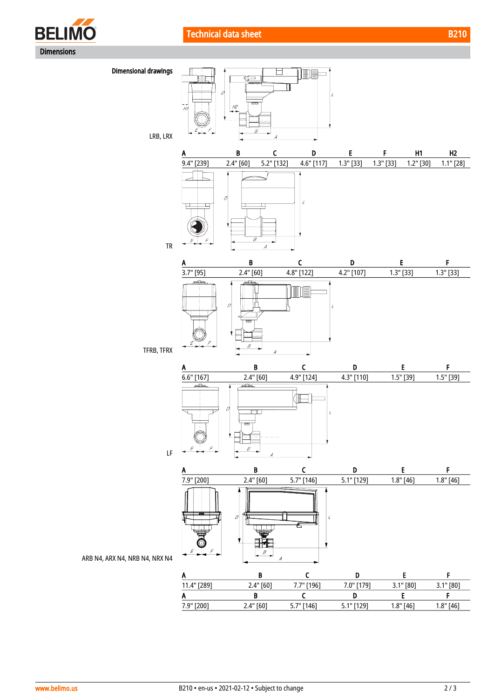



ARB N4, ARX N4, NRB N4, NRX N4

|             |             | - -          |              |             |             |
|-------------|-------------|--------------|--------------|-------------|-------------|
| A           |             |              |              |             |             |
| 11.4" [289] | 2.4" [60]   | 7.7" [196]   | 7.0" [179]   | $3.1"$ [80] | $3.1"$ [80] |
| Α           |             |              |              |             |             |
| 7.9" [200]  | $2.4"$ [60] | $5.7"$ [146] | $5.1"$ [129] | $1.8"$ [46] | $1.8"$ [46] |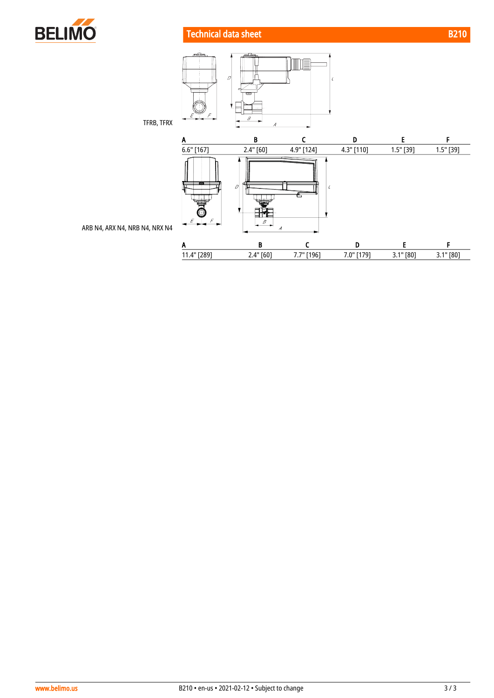

# **Technical data sheet B210**



ARB N4, ARX N4, NRB N4, NRX N4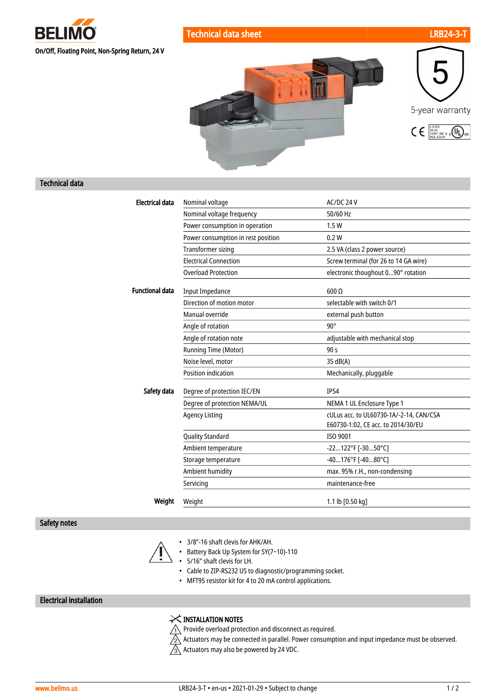

Technical data sheet LRB24-3-Technical data sheet LRB24-3-Technical data sheet LRB24-3-Technical data sheet LRB24-3-





#### Technical data

| <b>Electrical data</b> | Nominal voltage                    | AC/DC 24 V                                                                    |
|------------------------|------------------------------------|-------------------------------------------------------------------------------|
|                        | Nominal voltage frequency          | 50/60 Hz                                                                      |
|                        | Power consumption in operation     | 1.5W                                                                          |
|                        | Power consumption in rest position | 0.2W                                                                          |
|                        | <b>Transformer sizing</b>          | 2.5 VA (class 2 power source)                                                 |
|                        | <b>Flectrical Connection</b>       | Screw terminal (for 26 to 14 GA wire)                                         |
|                        | <b>Overload Protection</b>         | electronic thoughout 090° rotation                                            |
| <b>Functional data</b> | <b>Input Impedance</b>             | $600 \Omega$                                                                  |
|                        | Direction of motion motor          | selectable with switch 0/1                                                    |
|                        | Manual override                    | external push button                                                          |
|                        | Angle of rotation                  | $90^\circ$                                                                    |
|                        | Angle of rotation note             | adjustable with mechanical stop                                               |
|                        | Running Time (Motor)               | 90 <sub>s</sub>                                                               |
|                        | Noise level, motor                 | 35 dB(A)                                                                      |
|                        | Position indication                | Mechanically, pluggable                                                       |
| Safety data            | Degree of protection IEC/EN        | <b>IP54</b>                                                                   |
|                        | Degree of protection NEMA/UL       | NEMA 1 UL Enclosure Type 1                                                    |
|                        | <b>Agency Listing</b>              | cULus acc. to UL60730-1A/-2-14, CAN/CSA<br>E60730-1:02, CE acc. to 2014/30/EU |
|                        | <b>Quality Standard</b>            | ISO 9001                                                                      |
|                        | Ambient temperature                | -22122°F [-3050°C]                                                            |
|                        | Storage temperature                | -40176°F [-4080°C]                                                            |
|                        | Ambient humidity                   | max. 95% r.H., non-condensing                                                 |
|                        | Servicing                          | maintenance-free                                                              |
| Weight                 | Weight                             | 1.1 lb [0.50 kg]                                                              |

#### Safety notes



- 3/8"-16 shaft clevis for AHK/AH.
- Battery Back Up System for SY(7~10)-110
- 5/16" shaft clevis for LH.
- Cable to ZIP-RS232 US to diagnostic/programming socket.
- MFT95 resistor kit for 4 to 20 mA control applications.

## Electrical installation

# $\times$  INSTALLATION NOTES

 $\bigwedge$  Provide overload protection and disconnect as required.

 $\sqrt{2}$  Actuators may be connected in parallel. Power consumption and input impedance must be observed.  $\sqrt{3}$  Actuators may also be powered by 24 VDC.